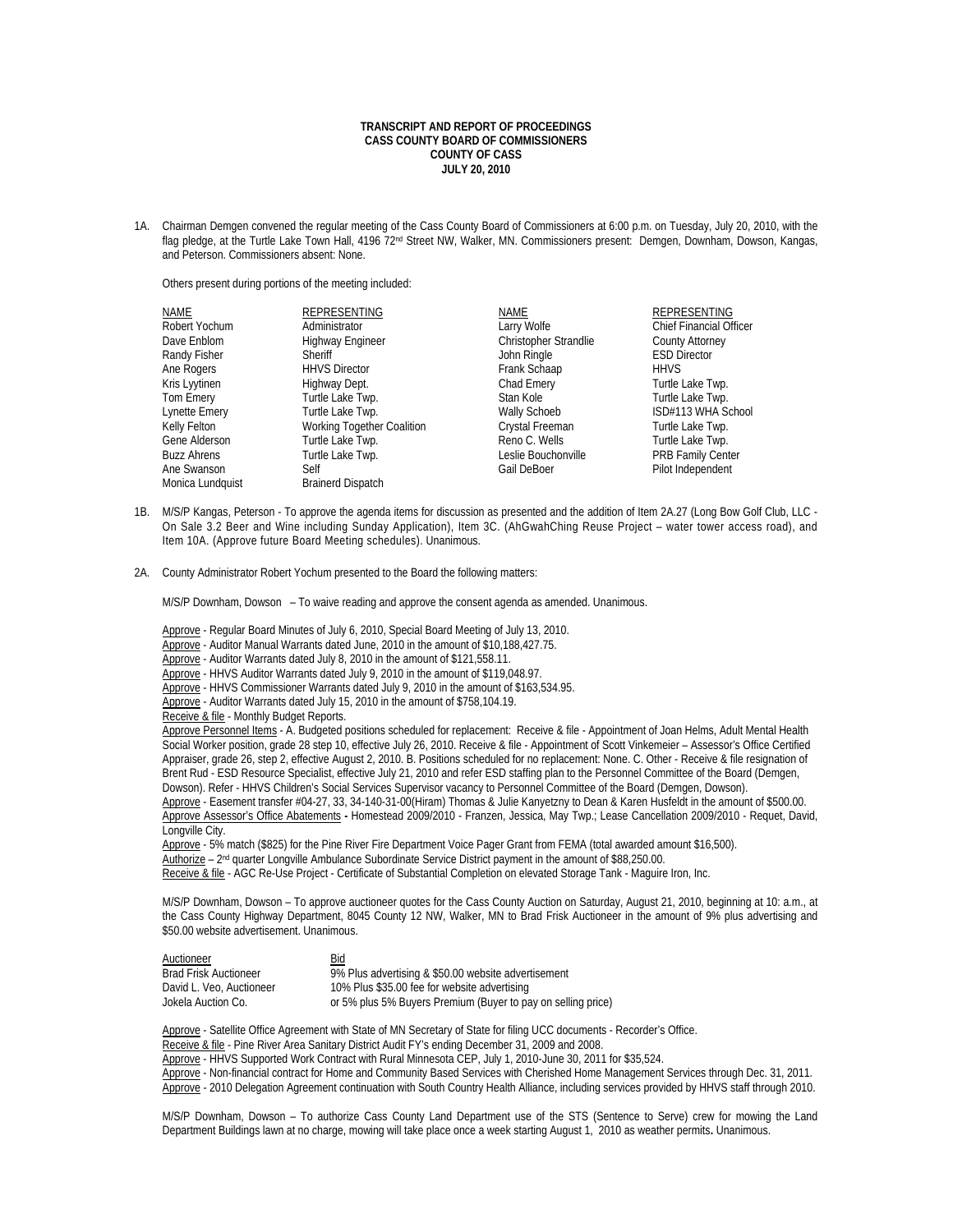## **TRANSCRIPT AND REPORT OF PROCEEDINGS CASS COUNTY BOARD OF COMMISSIONERS COUNTY OF CASS JULY 20, 2010**

1A. Chairman Demgen convened the regular meeting of the Cass County Board of Commissioners at 6:00 p.m. on Tuesday, July 20, 2010, with the flag pledge, at the Turtle Lake Town Hall, 4196 72<sup>nd</sup> Street NW, Walker, MN. Commissioners present: Demgen, Downham, Dowson, Kangas, and Peterson. Commissioners absent: None.

Others present during portions of the meeting included:

| NAME               | <b>REPRESENTING</b>        | NAME                         | <b>REPRESENTING</b>            |
|--------------------|----------------------------|------------------------------|--------------------------------|
| Robert Yochum      | Administrator              | Larry Wolfe                  | <b>Chief Financial Officer</b> |
| Dave Enblom        | <b>Highway Engineer</b>    | <b>Christopher Strandlie</b> | <b>County Attorney</b>         |
| Randy Fisher       | Sheriff                    | John Ringle                  | <b>ESD Director</b>            |
| Ane Rogers         | <b>HHVS Director</b>       | Frank Schaap                 | <b>HHVS</b>                    |
| Kris Lyytinen      | Highway Dept.              | Chad Emery                   | Turtle Lake Twp.               |
| Tom Emery          | Turtle Lake Twp.           | Stan Kole                    | Turtle Lake Twp.               |
| Lynette Emery      | Turtle Lake Twp.           | Wally Schoeb                 | ISD#113 WHA School             |
| Kelly Felton       | Working Together Coalition | Crystal Freeman              | Turtle Lake Twp.               |
| Gene Alderson      | Turtle Lake Twp.           | Reno C. Wells                | Turtle Lake Twp.               |
| <b>Buzz Ahrens</b> | Turtle Lake Twp.           | Leslie Bouchonville          | <b>PRB Family Center</b>       |
| Ane Swanson        | Self                       | Gail DeBoer                  | Pilot Independent              |
| Monica Lundquist   | <b>Brainerd Dispatch</b>   |                              |                                |

- 1B. M/S/P Kangas, Peterson To approve the agenda items for discussion as presented and the addition of Item 2A.27 (Long Bow Golf Club, LLC On Sale 3.2 Beer and Wine including Sunday Application), Item 3C. (AhGwahChing Reuse Project – water tower access road), and Item 10A. (Approve future Board Meeting schedules). Unanimous.
- 2A. County Administrator Robert Yochum presented to the Board the following matters:

M/S/P Downham, Dowson – To waive reading and approve the consent agenda as amended. Unanimous.

Approve - Regular Board Minutes of July 6, 2010, Special Board Meeting of July 13, 2010.

Approve - Auditor Manual Warrants dated June, 2010 in the amount of \$10,188,427.75.

Approve - Auditor Warrants dated July 8, 2010 in the amount of \$121,558.11.

Approve - HHVS Auditor Warrants dated July 9, 2010 in the amount of \$119,048.97.

Approve - HHVS Commissioner Warrants dated July 9, 2010 in the amount of \$163,534.95.

Approve - Auditor Warrants dated July 15, 2010 in the amount of \$758,104.19.

Receive & file - Monthly Budget Reports.

 Approve Personnel Items - A. Budgeted positions scheduled for replacement: Receive & file - Appointment of Joan Helms, Adult Mental Health Social Worker position, grade 28 step 10, effective July 26, 2010. Receive & file - Appointment of Scott Vinkemeier – Assessor's Office Certified Appraiser, grade 26, step 2, effective August 2, 2010. B. Positions scheduled for no replacement: None. C. Other - Receive & file resignation of Brent Rud - ESD Resource Specialist, effective July 21, 2010 and refer ESD staffing plan to the Personnel Committee of the Board (Demgen, Dowson). Refer - HHVS Children's Social Services Supervisor vacancy to Personnel Committee of the Board (Demgen, Dowson).

 Approve - Easement transfer #04-27, 33, 34-140-31-00(Hiram) Thomas & Julie Kanyetzny to Dean & Karen Husfeldt in the amount of \$500.00. Approve Assessor's Office Abatements **-** Homestead 2009/2010 - Franzen, Jessica, May Twp.; Lease Cancellation 2009/2010 - Requet, David, Longville City.

Approve - 5% match (\$825) for the Pine River Fire Department Voice Pager Grant from FEMA (total awarded amount \$16,500).

Authorize – 2nd quarter Longville Ambulance Subordinate Service District payment in the amount of \$88,250.00.

Receive & file - AGC Re-Use Project - Certificate of Substantial Completion on elevated Storage Tank - Maguire Iron, Inc.

M/S/P Downham, Dowson – To approve auctioneer quotes for the Cass County Auction on Saturday, August 21, 2010, beginning at 10: a.m., at the Cass County Highway Department, 8045 County 12 NW, Walker, MN to Brad Frisk Auctioneer in the amount of 9% plus advertising and \$50.00 website advertisement. Unanimous.

 Auctioneer Bid  $\overline{9\%}$  Plus advertising & \$50.00 website advertisement David L. Veo, Auctioneer 10% Plus \$35.00 fee for website advertising<br>Jokela Auction Co. 100.000 composition or 5% plus 5% Buyers Premium (Buyer to pa or 5% plus 5% Buyers Premium (Buyer to pay on selling price)

Approve - Satellite Office Agreement with State of MN Secretary of State for filing UCC documents - Recorder's Office. Receive & file - Pine River Area Sanitary District Audit FY's ending December 31, 2009 and 2008. Approve - HHVS Supported Work Contract with Rural Minnesota CEP, July 1, 2010-June 30, 2011 for \$35,524. Approve - Non-financial contract for Home and Community Based Services with Cherished Home Management Services through Dec. 31, 2011.

Approve - 2010 Delegation Agreement continuation with South Country Health Alliance, including services provided by HHVS staff through 2010.

 M/S/P Downham, Dowson – To authorize Cass County Land Department use of the STS (Sentence to Serve) crew for mowing the Land Department Buildings lawn at no charge, mowing will take place once a week starting August 1, 2010 as weather permits**.** Unanimous.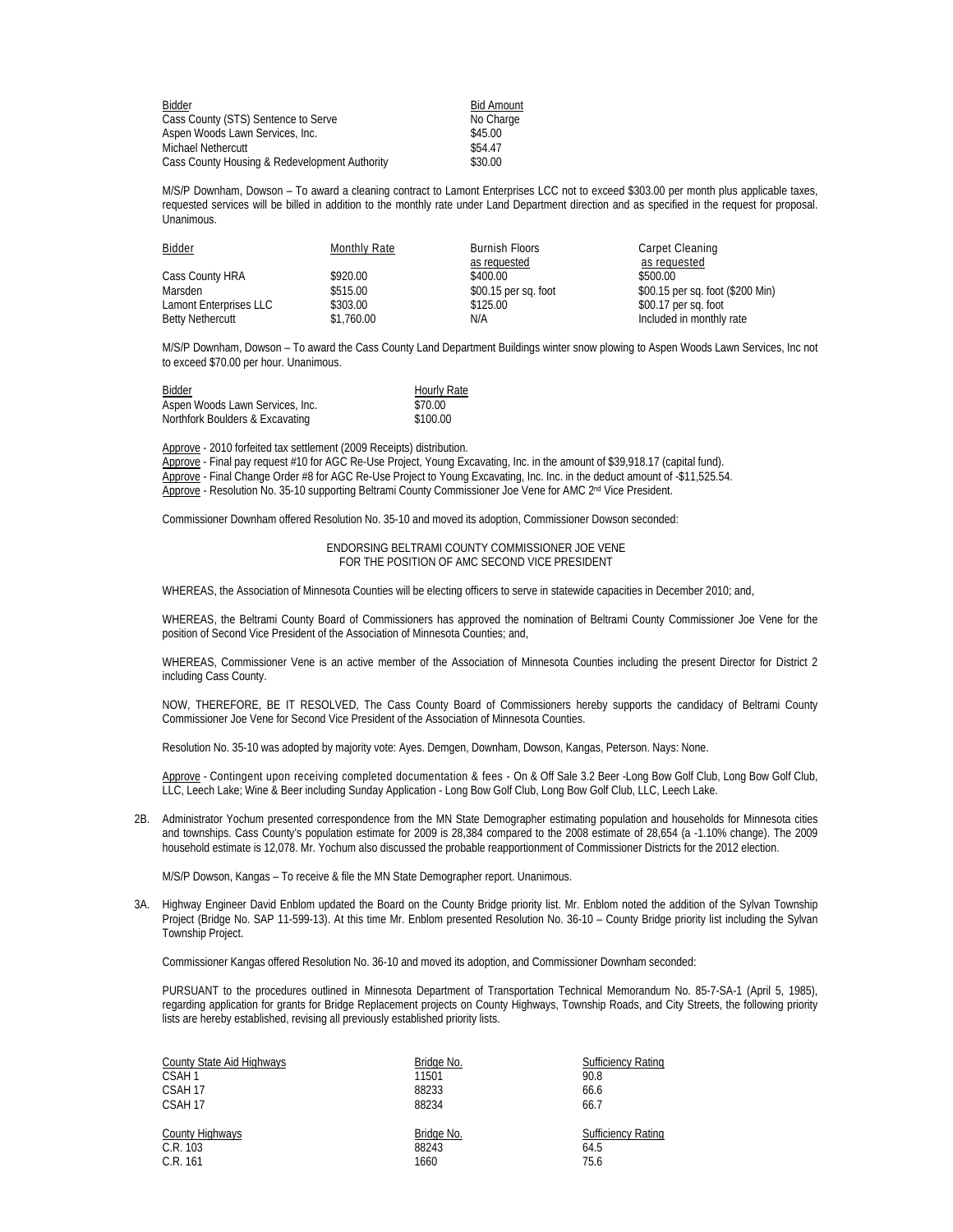| Bidder                                        | <b>Bid Amount</b> |
|-----------------------------------------------|-------------------|
| Cass County (STS) Sentence to Serve           | No Charge         |
| Aspen Woods Lawn Services, Inc.               | \$45.00           |
| Michael Nethercutt                            | \$54.47           |
| Cass County Housing & Redevelopment Authority | \$30.00           |

 M/S/P Downham, Dowson – To award a cleaning contract to Lamont Enterprises LCC not to exceed \$303.00 per month plus applicable taxes, requested services will be billed in addition to the monthly rate under Land Department direction and as specified in the request for proposal. **Unanimous.** 

| <b>Bidder</b>           | Monthly Rate | <b>Burnish Floors</b> | Carpet Cleaning                  |
|-------------------------|--------------|-----------------------|----------------------------------|
|                         |              | as requested          | as requested                     |
| Cass County HRA         | \$920.00     | \$400.00              | \$500.00                         |
| Marsden                 | \$515.00     | \$00.15 per sq. foot  | \$00.15 per sq. foot (\$200 Min) |
| Lamont Enterprises LLC  | \$303.00     | \$125.00              | \$00.17 per sq. foot             |
| <b>Betty Nethercutt</b> | \$1,760.00   | N/A                   | Included in monthly rate         |

M/S/P Downham, Dowson – To award the Cass County Land Department Buildings winter snow plowing to Aspen Woods Lawn Services, Inc not to exceed \$70.00 per hour. Unanimous.

| Bidder                          | <b>Hourly Rate</b> |
|---------------------------------|--------------------|
| Aspen Woods Lawn Services, Inc. | \$70.00            |
| Northfork Boulders & Excavating | \$100.00           |

Approve - 2010 forfeited tax settlement (2009 Receipts) distribution.

 Approve - Final pay request #10 for AGC Re-Use Project, Young Excavating, Inc. in the amount of \$39,918.17 (capital fund). Approve - Final Change Order #8 for AGC Re-Use Project to Young Excavating, Inc. Inc. in the deduct amount of -\$11,525.54. Approve - Resolution No. 35-10 supporting Beltrami County Commissioner Joe Vene for AMC 2nd Vice President.

Commissioner Downham offered Resolution No. 35-10 and moved its adoption, Commissioner Dowson seconded:

ENDORSING BELTRAMI COUNTY COMMISSIONER JOE VENE FOR THE POSITION OF AMC SECOND VICE PRESIDENT

WHEREAS, the Association of Minnesota Counties will be electing officers to serve in statewide capacities in December 2010; and,

WHEREAS, the Beltrami County Board of Commissioners has approved the nomination of Beltrami County Commissioner Joe Vene for the position of Second Vice President of the Association of Minnesota Counties; and,

WHEREAS, Commissioner Vene is an active member of the Association of Minnesota Counties including the present Director for District 2 including Cass County.

NOW, THEREFORE, BE IT RESOLVED, The Cass County Board of Commissioners hereby supports the candidacy of Beltrami County Commissioner Joe Vene for Second Vice President of the Association of Minnesota Counties.

Resolution No. 35-10 was adopted by majority vote: Ayes. Demgen, Downham, Dowson, Kangas, Peterson. Nays: None.

Approve - Contingent upon receiving completed documentation & fees - On & Off Sale 3.2 Beer -Long Bow Golf Club, Long Bow Golf Club, LLC, Leech Lake; Wine & Beer including Sunday Application - Long Bow Golf Club, Long Bow Golf Club, LLC, Leech Lake.

2B. Administrator Yochum presented correspondence from the MN State Demographer estimating population and households for Minnesota cities and townships. Cass County's population estimate for 2009 is 28,384 compared to the 2008 estimate of 28,654 (a -1.10% change). The 2009 household estimate is 12,078. Mr. Yochum also discussed the probable reapportionment of Commissioner Districts for the 2012 election.

M/S/P Dowson, Kangas – To receive & file the MN State Demographer report. Unanimous.

3A. Highway Engineer David Enblom updated the Board on the County Bridge priority list. Mr. Enblom noted the addition of the Sylvan Township Project (Bridge No. SAP 11-599-13). At this time Mr. Enblom presented Resolution No. 36-10 – County Bridge priority list including the Sylvan Township Project.

Commissioner Kangas offered Resolution No. 36-10 and moved its adoption, and Commissioner Downham seconded:

PURSUANT to the procedures outlined in Minnesota Department of Transportation Technical Memorandum No. 85-7-SA-1 (April 5, 1985), regarding application for grants for Bridge Replacement projects on County Highways, Township Roads, and City Streets, the following priority lists are hereby established, revising all previously established priority lists.

| County State Aid Highways | Bridge No. | <b>Sufficiency Rating</b> |
|---------------------------|------------|---------------------------|
| CSAH <sub>1</sub>         | 11501      | 90.8                      |
| CSAH 17                   | 88233      | 66.6                      |
| CSAH 17                   | 88234      | 66.7                      |
|                           |            |                           |
| County Highways           | Bridge No. | <b>Sufficiency Rating</b> |
| C.R. 103                  | 88243      | 64.5                      |
| C.R. 161                  | 1660       | 75.6                      |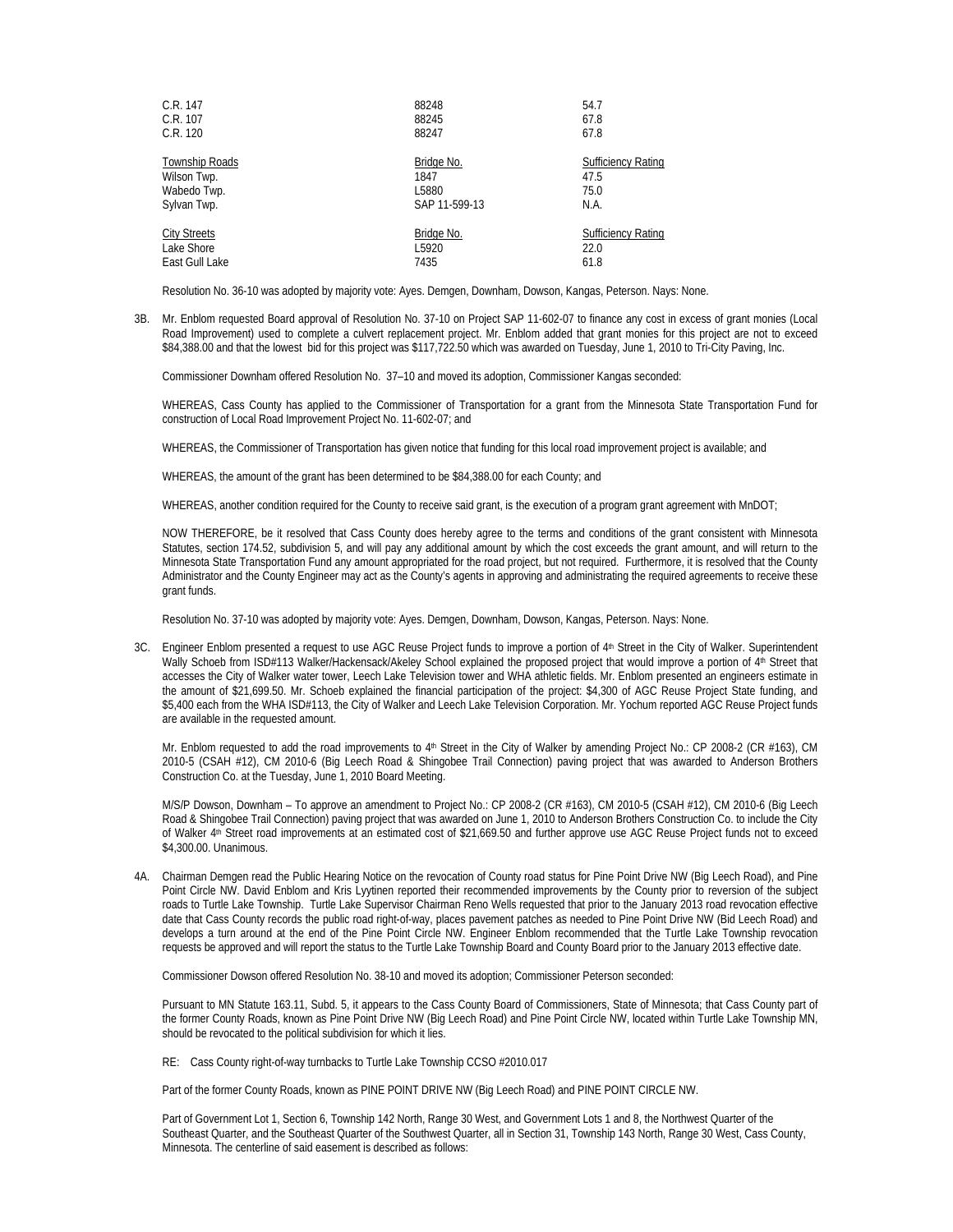| C.R. 147            | 88248         | 54.7                      |
|---------------------|---------------|---------------------------|
| C.R. 107            | 88245         | 67.8                      |
| C.R. 120            | 88247         | 67.8                      |
| Township Roads      | Bridge No.    | <b>Sufficiency Rating</b> |
| Wilson Twp.         | 1847          | 47.5                      |
| Wabedo Twp.         | L5880         | 75.0                      |
| Sylvan Twp.         | SAP 11-599-13 | N.A.                      |
| <b>City Streets</b> | Bridge No.    | <b>Sufficiency Rating</b> |
| Lake Shore          | L5920         | 22.0                      |
| East Gull Lake      | 7435          | 61.8                      |

Resolution No. 36-10 was adopted by majority vote: Ayes. Demgen, Downham, Dowson, Kangas, Peterson. Nays: None.

3B. Mr. Enblom requested Board approval of Resolution No. 37-10 on Project SAP 11-602-07 to finance any cost in excess of grant monies (Local Road Improvement) used to complete a culvert replacement project. Mr. Enblom added that grant monies for this project are not to exceed \$84,388.00 and that the lowest bid for this project was \$117,722.50 which was awarded on Tuesday, June 1, 2010 to Tri-City Paving, Inc.

Commissioner Downham offered Resolution No. 37–10 and moved its adoption, Commissioner Kangas seconded:

WHEREAS, Cass County has applied to the Commissioner of Transportation for a grant from the Minnesota State Transportation Fund for construction of Local Road Improvement Project No. 11-602-07; and

WHEREAS, the Commissioner of Transportation has given notice that funding for this local road improvement project is available; and

WHEREAS, the amount of the grant has been determined to be \$84,388.00 for each County; and

WHEREAS, another condition required for the County to receive said grant, is the execution of a program grant agreement with MnDOT;

NOW THEREFORE, be it resolved that Cass County does hereby agree to the terms and conditions of the grant consistent with Minnesota Statutes, section 174.52, subdivision 5, and will pay any additional amount by which the cost exceeds the grant amount, and will return to the Minnesota State Transportation Fund any amount appropriated for the road project, but not required. Furthermore, it is resolved that the County Administrator and the County Engineer may act as the County's agents in approving and administrating the required agreements to receive these grant funds.

Resolution No. 37-10 was adopted by majority vote: Ayes. Demgen, Downham, Dowson, Kangas, Peterson. Nays: None.

3C. Engineer Enblom presented a request to use AGC Reuse Project funds to improve a portion of 4<sup>th</sup> Street in the City of Walker. Superintendent Wally Schoeb from ISD#113 Walker/Hackensack/Akeley School explained the proposed project that would improve a portion of 4<sup>th</sup> Street that accesses the City of Walker water tower, Leech Lake Television tower and WHA athletic fields. Mr. Enblom presented an engineers estimate in the amount of \$21,699.50. Mr. Schoeb explained the financial participation of the project: \$4,300 of AGC Reuse Project State funding, and \$5,400 each from the WHA ISD#113, the City of Walker and Leech Lake Television Corporation. Mr. Yochum reported AGC Reuse Project funds are available in the requested amount.

Mr. Enblom requested to add the road improvements to 4<sup>th</sup> Street in the City of Walker by amending Project No.: CP 2008-2 (CR #163), CM 2010-5 (CSAH #12), CM 2010-6 (Big Leech Road & Shingobee Trail Connection) paving project that was awarded to Anderson Brothers Construction Co. at the Tuesday, June 1, 2010 Board Meeting.

M/S/P Dowson, Downham – To approve an amendment to Project No.: CP 2008-2 (CR #163), CM 2010-5 (CSAH #12), CM 2010-6 (Big Leech Road & Shingobee Trail Connection) paving project that was awarded on June 1, 2010 to Anderson Brothers Construction Co. to include the City of Walker 4<sup>th</sup> Street road improvements at an estimated cost of \$21,669.50 and further approve use AGC Reuse Project funds not to exceed \$4,300.00. Unanimous.

4A. Chairman Demgen read the Public Hearing Notice on the revocation of County road status for Pine Point Drive NW (Big Leech Road), and Pine Point Circle NW. David Enblom and Kris Lyytinen reported their recommended improvements by the County prior to reversion of the subject roads to Turtle Lake Township. Turtle Lake Supervisor Chairman Reno Wells requested that prior to the January 2013 road revocation effective date that Cass County records the public road right-of-way, places pavement patches as needed to Pine Point Drive NW (Bid Leech Road) and develops a turn around at the end of the Pine Point Circle NW. Engineer Enblom recommended that the Turtle Lake Township revocation requests be approved and will report the status to the Turtle Lake Township Board and County Board prior to the January 2013 effective date.

Commissioner Dowson offered Resolution No. 38-10 and moved its adoption; Commissioner Peterson seconded:

Pursuant to MN Statute 163.11, Subd. 5, it appears to the Cass County Board of Commissioners, State of Minnesota; that Cass County part of the former County Roads, known as Pine Point Drive NW (Big Leech Road) and Pine Point Circle NW, located within Turtle Lake Township MN, should be revocated to the political subdivision for which it lies.

RE: Cass County right-of-way turnbacks to Turtle Lake Township CCSO #2010.017

Part of the former County Roads, known as PINE POINT DRIVE NW (Big Leech Road) and PINE POINT CIRCLE NW.

Part of Government Lot 1, Section 6, Township 142 North, Range 30 West, and Government Lots 1 and 8, the Northwest Quarter of the Southeast Quarter, and the Southeast Quarter of the Southwest Quarter, all in Section 31, Township 143 North, Range 30 West, Cass County, Minnesota. The centerline of said easement is described as follows: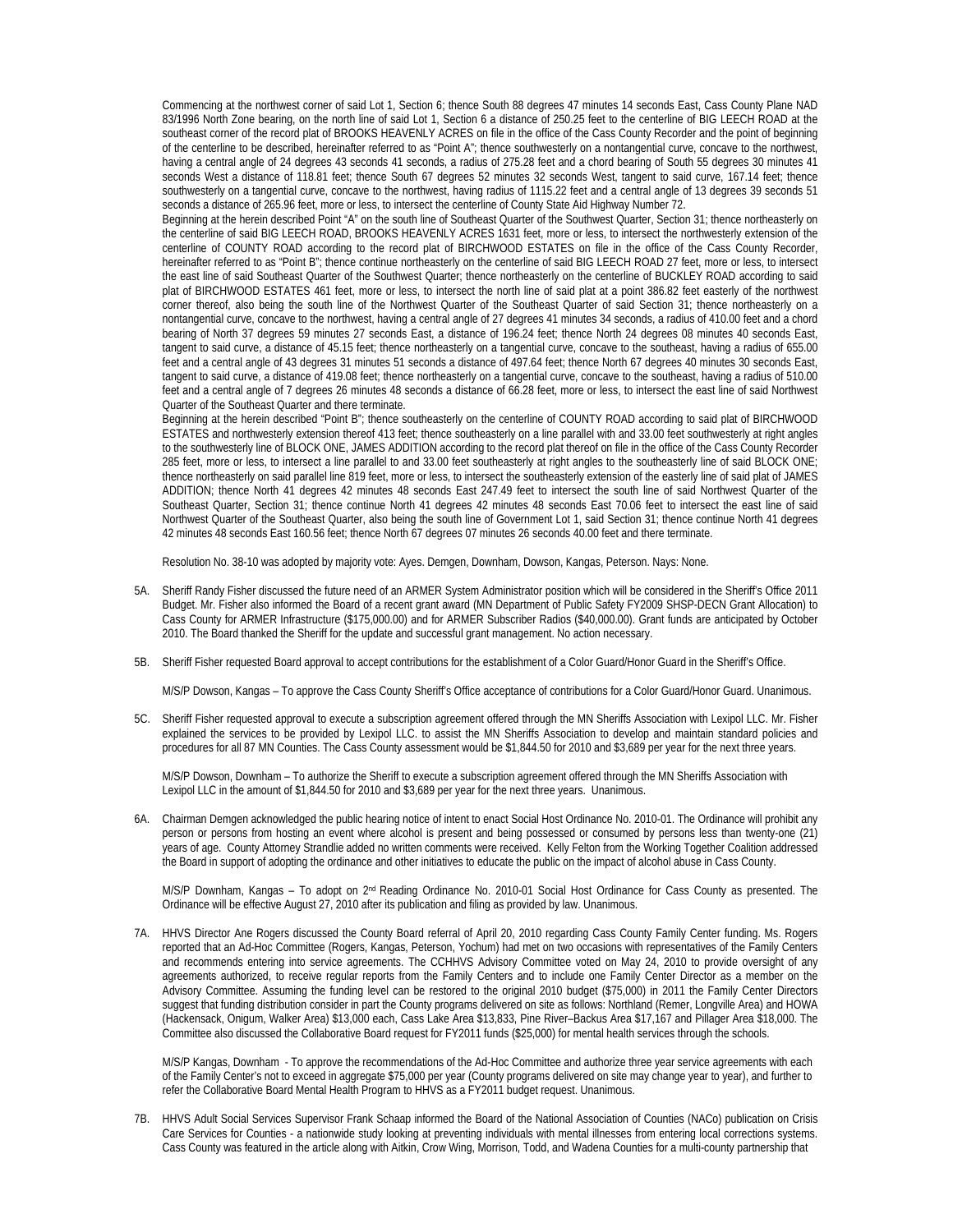Commencing at the northwest corner of said Lot 1, Section 6; thence South 88 degrees 47 minutes 14 seconds East, Cass County Plane NAD 83/1996 North Zone bearing, on the north line of said Lot 1, Section 6 a distance of 250.25 feet to the centerline of BIG LEECH ROAD at the southeast corner of the record plat of BROOKS HEAVENLY ACRES on file in the office of the Cass County Recorder and the point of beginning of the centerline to be described, hereinafter referred to as "Point A"; thence southwesterly on a nontangential curve, concave to the northwest, having a central angle of 24 degrees 43 seconds 41 seconds, a radius of 275.28 feet and a chord bearing of South 55 degrees 30 minutes 41 seconds West a distance of 118.81 feet; thence South 67 degrees 52 minutes 32 seconds West, tangent to said curve, 167.14 feet; thence southwesterly on a tangential curve, concave to the northwest, having radius of 1115.22 feet and a central angle of 13 degrees 39 seconds 51 seconds a distance of 265.96 feet, more or less, to intersect the centerline of County State Aid Highway Number 72.

Beginning at the herein described Point "A" on the south line of Southeast Quarter of the Southwest Quarter, Section 31; thence northeasterly on the centerline of said BIG LEECH ROAD, BROOKS HEAVENLY ACRES 1631 feet, more or less, to intersect the northwesterly extension of the centerline of COUNTY ROAD according to the record plat of BIRCHWOOD ESTATES on file in the office of the Cass County Recorder, hereinafter referred to as "Point B"; thence continue northeasterly on the centerline of said BIG LEECH ROAD 27 feet, more or less, to intersect the east line of said Southeast Quarter of the Southwest Quarter; thence northeasterly on the centerline of BUCKLEY ROAD according to said plat of BIRCHWOOD ESTATES 461 feet, more or less, to intersect the north line of said plat at a point 386.82 feet easterly of the northwest corner thereof, also being the south line of the Northwest Quarter of the Southeast Quarter of said Section 31; thence northeasterly on a nontangential curve, concave to the northwest, having a central angle of 27 degrees 41 minutes 34 seconds, a radius of 410.00 feet and a chord bearing of North 37 degrees 59 minutes 27 seconds East, a distance of 196.24 feet; thence North 24 degrees 08 minutes 40 seconds East, tangent to said curve, a distance of 45.15 feet; thence northeasterly on a tangential curve, concave to the southeast, having a radius of 655.00 feet and a central angle of 43 degrees 31 minutes 51 seconds a distance of 497.64 feet; thence North 67 degrees 40 minutes 30 seconds East, tangent to said curve, a distance of 419.08 feet; thence northeasterly on a tangential curve, concave to the southeast, having a radius of 510.00 feet and a central angle of 7 degrees 26 minutes 48 seconds a distance of 66.28 feet, more or less, to intersect the east line of said Northwest Quarter of the Southeast Quarter and there terminate.

Beginning at the herein described "Point B"; thence southeasterly on the centerline of COUNTY ROAD according to said plat of BIRCHWOOD ESTATES and northwesterly extension thereof 413 feet; thence southeasterly on a line parallel with and 33.00 feet southwesterly at right angles to the southwesterly line of BLOCK ONE, JAMES ADDITION according to the record plat thereof on file in the office of the Cass County Recorder 285 feet, more or less, to intersect a line parallel to and 33.00 feet southeasterly at right angles to the southeasterly line of said BLOCK ONE; thence northeasterly on said parallel line 819 feet, more or less, to intersect the southeasterly extension of the easterly line of said plat of JAMES ADDITION; thence North 41 degrees 42 minutes 48 seconds East 247.49 feet to intersect the south line of said Northwest Quarter of the Southeast Quarter, Section 31; thence continue North 41 degrees 42 minutes 48 seconds East 70.06 feet to intersect the east line of said Northwest Quarter of the Southeast Quarter, also being the south line of Government Lot 1, said Section 31; thence continue North 41 degrees 42 minutes 48 seconds East 160.56 feet; thence North 67 degrees 07 minutes 26 seconds 40.00 feet and there terminate.

Resolution No. 38-10 was adopted by majority vote: Ayes. Demgen, Downham, Dowson, Kangas, Peterson. Nays: None.

- 5A. Sheriff Randy Fisher discussed the future need of an ARMER System Administrator position which will be considered in the Sheriff's Office 2011 Budget. Mr. Fisher also informed the Board of a recent grant award (MN Department of Public Safety FY2009 SHSP-DECN Grant Allocation) to Cass County for ARMER Infrastructure (\$175,000.00) and for ARMER Subscriber Radios (\$40,000.00). Grant funds are anticipated by October 2010. The Board thanked the Sheriff for the update and successful grant management. No action necessary.
- 5B. Sheriff Fisher requested Board approval to accept contributions for the establishment of a Color Guard/Honor Guard in the Sheriff's Office.

M/S/P Dowson, Kangas – To approve the Cass County Sheriff's Office acceptance of contributions for a Color Guard/Honor Guard. Unanimous.

5C. Sheriff Fisher requested approval to execute a subscription agreement offered through the MN Sheriffs Association with Lexipol LLC. Mr. Fisher explained the services to be provided by Lexipol LLC. to assist the MN Sheriffs Association to develop and maintain standard policies and procedures for all 87 MN Counties. The Cass County assessment would be \$1,844.50 for 2010 and \$3,689 per year for the next three years.

 M/S/P Dowson, Downham – To authorize the Sheriff to execute a subscription agreement offered through the MN Sheriffs Association with Lexipol LLC in the amount of \$1,844.50 for 2010 and \$3,689 per year for the next three years. Unanimous.

6A. Chairman Demgen acknowledged the public hearing notice of intent to enact Social Host Ordinance No. 2010-01. The Ordinance will prohibit any person or persons from hosting an event where alcohol is present and being possessed or consumed by persons less than twenty-one (21) years of age. County Attorney Strandlie added no written comments were received. Kelly Felton from the Working Together Coalition addressed the Board in support of adopting the ordinance and other initiatives to educate the public on the impact of alcohol abuse in Cass County.

M/S/P Downham, Kangas – To adopt on 2nd Reading Ordinance No. 2010-01 Social Host Ordinance for Cass County as presented. The Ordinance will be effective August 27, 2010 after its publication and filing as provided by law. Unanimous.

7A. HHVS Director Ane Rogers discussed the County Board referral of April 20, 2010 regarding Cass County Family Center funding. Ms. Rogers reported that an Ad-Hoc Committee (Rogers, Kangas, Peterson, Yochum) had met on two occasions with representatives of the Family Centers and recommends entering into service agreements. The CCHHVS Advisory Committee voted on May 24, 2010 to provide oversight of any agreements authorized, to receive regular reports from the Family Centers and to include one Family Center Director as a member on the Advisory Committee. Assuming the funding level can be restored to the original 2010 budget (\$75,000) in 2011 the Family Center Directors suggest that funding distribution consider in part the County programs delivered on site as follows: Northland (Remer, Longville Area) and HOWA (Hackensack, Onigum, Walker Area) \$13,000 each, Cass Lake Area \$13,833, Pine River–Backus Area \$17,167 and Pillager Area \$18,000. The Committee also discussed the Collaborative Board request for FY2011 funds (\$25,000) for mental health services through the schools.

M/S/P Kangas, Downham - To approve the recommendations of the Ad-Hoc Committee and authorize three year service agreements with each of the Family Center's not to exceed in aggregate \$75,000 per year (County programs delivered on site may change year to year), and further to refer the Collaborative Board Mental Health Program to HHVS as a FY2011 budget request. Unanimous.

7B. HHVS Adult Social Services Supervisor Frank Schaap informed the Board of the National Association of Counties (NACo) publication on Crisis Care Services for Counties - a nationwide study looking at preventing individuals with mental illnesses from entering local corrections systems. Cass County was featured in the article along with Aitkin, Crow Wing, Morrison, Todd, and Wadena Counties for a multi-county partnership that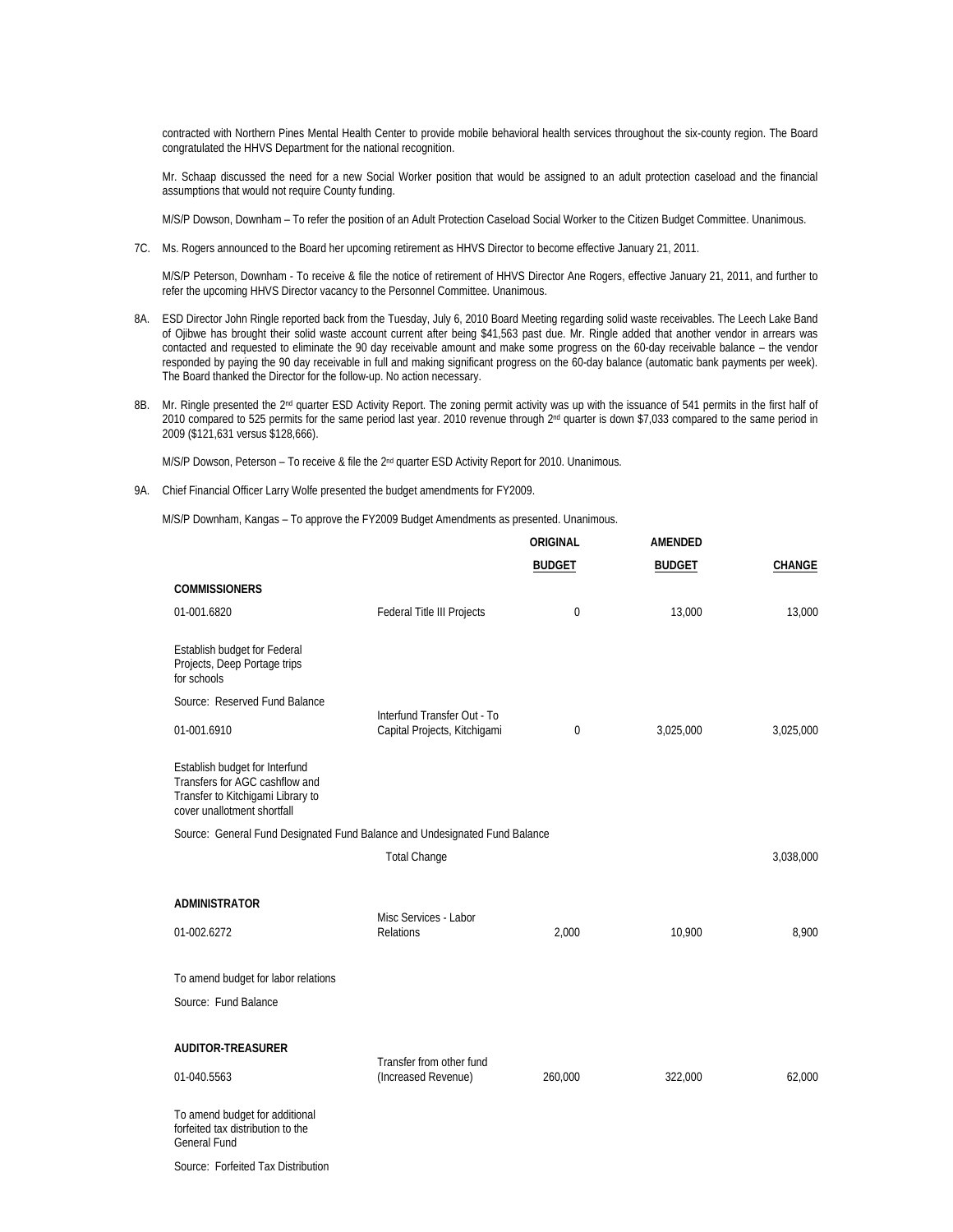contracted with Northern Pines Mental Health Center to provide mobile behavioral health services throughout the six-county region. The Board congratulated the HHVS Department for the national recognition.

 Mr. Schaap discussed the need for a new Social Worker position that would be assigned to an adult protection caseload and the financial assumptions that would not require County funding.

M/S/P Dowson, Downham – To refer the position of an Adult Protection Caseload Social Worker to the Citizen Budget Committee. Unanimous.

7C. Ms. Rogers announced to the Board her upcoming retirement as HHVS Director to become effective January 21, 2011.

 M/S/P Peterson, Downham - To receive & file the notice of retirement of HHVS Director Ane Rogers, effective January 21, 2011, and further to refer the upcoming HHVS Director vacancy to the Personnel Committee. Unanimous.

- 8A. ESD Director John Ringle reported back from the Tuesday, July 6, 2010 Board Meeting regarding solid waste receivables. The Leech Lake Band of Ojibwe has brought their solid waste account current after being \$41,563 past due. Mr. Ringle added that another vendor in arrears was contacted and requested to eliminate the 90 day receivable amount and make some progress on the 60-day receivable balance – the vendor responded by paying the 90 day receivable in full and making significant progress on the 60-day balance (automatic bank payments per week). The Board thanked the Director for the follow-up. No action necessary.
- 8B. Mr. Ringle presented the 2<sup>nd</sup> quarter ESD Activity Report. The zoning permit activity was up with the issuance of 541 permits in the first half of 2010 compared to 525 permits for the same period last year. 2010 revenue through 2<sup>nd</sup> quarter is down \$7,033 compared to the same period in 2009 (\$121,631 versus \$128,666).

M/S/P Dowson, Peterson - To receive & file the 2<sup>nd</sup> quarter ESD Activity Report for 2010. Unanimous.

9A. Chief Financial Officer Larry Wolfe presented the budget amendments for FY2009.

M/S/P Downham, Kangas – To approve the FY2009 Budget Amendments as presented. Unanimous.

|                                                                                                                                      |                                                             | ORIGINAL      | AMENDED       |               |
|--------------------------------------------------------------------------------------------------------------------------------------|-------------------------------------------------------------|---------------|---------------|---------------|
|                                                                                                                                      |                                                             | <b>BUDGET</b> | <b>BUDGET</b> | <b>CHANGE</b> |
| <b>COMMISSIONERS</b>                                                                                                                 |                                                             |               |               |               |
| 01-001.6820                                                                                                                          | Federal Title III Projects                                  | 0             | 13,000        | 13,000        |
| Establish budget for Federal<br>Projects, Deep Portage trips<br>for schools                                                          |                                                             |               |               |               |
| Source: Reserved Fund Balance                                                                                                        |                                                             |               |               |               |
| 01-001.6910                                                                                                                          | Interfund Transfer Out - To<br>Capital Projects, Kitchigami | 0             | 3,025,000     | 3,025,000     |
| Establish budget for Interfund<br>Transfers for AGC cashflow and<br>Transfer to Kitchigami Library to<br>cover unallotment shortfall |                                                             |               |               |               |
| Source: General Fund Designated Fund Balance and Undesignated Fund Balance                                                           |                                                             |               |               |               |
|                                                                                                                                      | <b>Total Change</b>                                         |               |               | 3,038,000     |
| <b>ADMINISTRATOR</b>                                                                                                                 |                                                             |               |               |               |
| 01-002.6272                                                                                                                          | Misc Services - Labor<br>Relations                          | 2,000         | 10,900        | 8,900         |
| To amend budget for labor relations                                                                                                  |                                                             |               |               |               |
| Source: Fund Balance                                                                                                                 |                                                             |               |               |               |
| AUDITOR-TREASURER                                                                                                                    |                                                             |               |               |               |
| 01-040.5563                                                                                                                          | Transfer from other fund<br>(Increased Revenue)             | 260,000       | 322,000       | 62,000        |
| To amend budget for additional<br>forfeited tax distribution to the<br><b>General Fund</b>                                           |                                                             |               |               |               |

Source: Forfeited Tax Distribution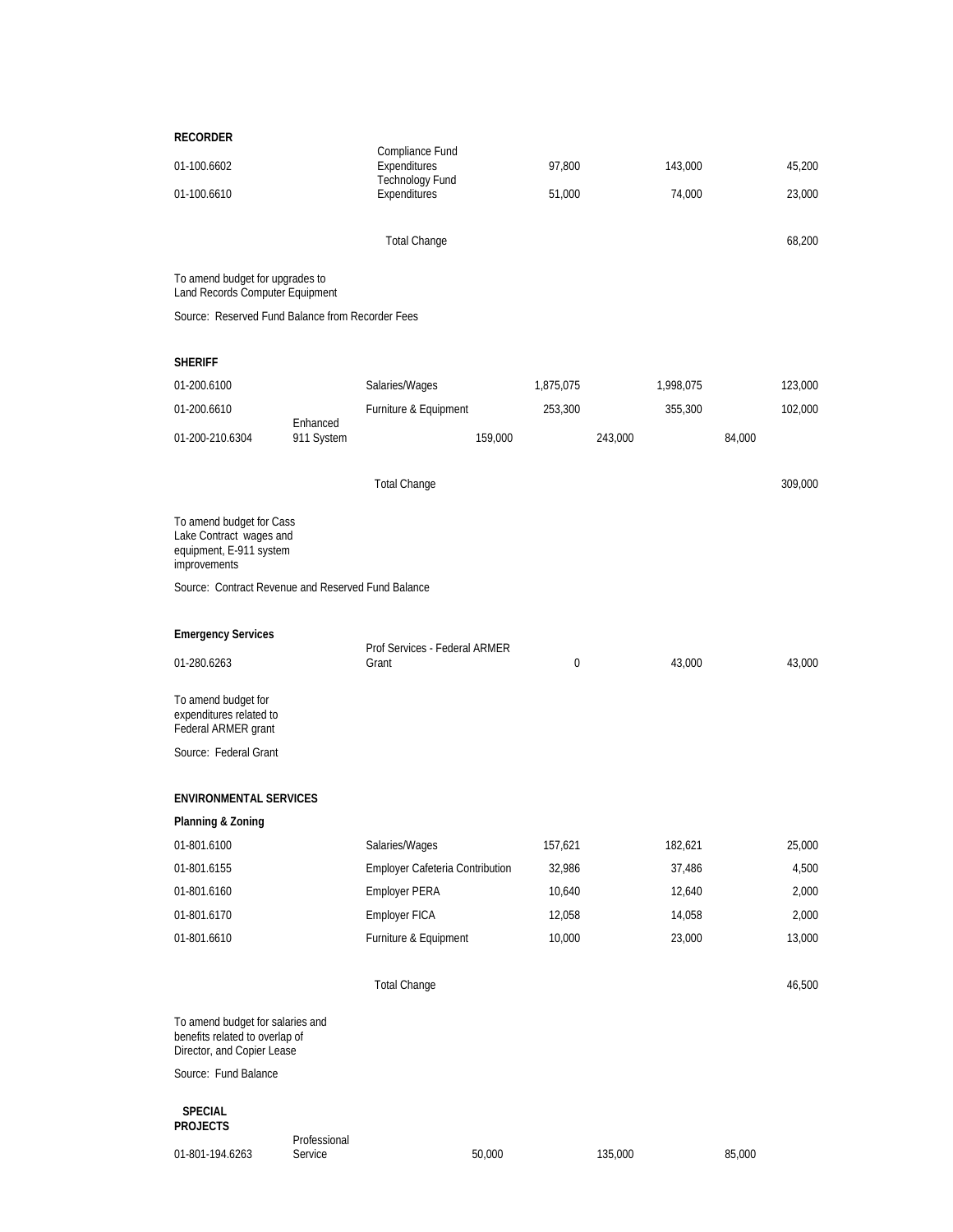| <b>RECORDER</b>                                                                                  |                         |                                 |           |           |         |
|--------------------------------------------------------------------------------------------------|-------------------------|---------------------------------|-----------|-----------|---------|
| 01-100.6602                                                                                      |                         | Compliance Fund<br>Expenditures | 97,800    | 143,000   | 45,200  |
| 01-100.6610                                                                                      |                         | Technology Fund<br>Expenditures | 51,000    | 74,000    | 23,000  |
|                                                                                                  |                         | <b>Total Change</b>             |           |           | 68,200  |
| To amend budget for upgrades to<br>Land Records Computer Equipment                               |                         |                                 |           |           |         |
| Source: Reserved Fund Balance from Recorder Fees                                                 |                         |                                 |           |           |         |
| <b>SHERIFF</b>                                                                                   |                         |                                 |           |           |         |
| 01-200.6100                                                                                      |                         | Salaries/Wages                  | 1,875,075 | 1,998,075 | 123,000 |
| 01-200.6610                                                                                      |                         |                                 |           |           | 102,000 |
|                                                                                                  | Enhanced                | Furniture & Equipment           | 253,300   | 355,300   |         |
| 01-200-210.6304                                                                                  | 911 System              | 159,000                         |           | 243,000   | 84,000  |
|                                                                                                  |                         | <b>Total Change</b>             |           |           | 309,000 |
| To amend budget for Cass<br>Lake Contract wages and<br>equipment, E-911 system<br>improvements   |                         |                                 |           |           |         |
| Source: Contract Revenue and Reserved Fund Balance                                               |                         |                                 |           |           |         |
|                                                                                                  |                         |                                 |           |           |         |
| <b>Emergency Services</b>                                                                        |                         | Prof Services - Federal ARMER   |           |           |         |
| 01-280.6263                                                                                      |                         | Grant                           | 0         | 43,000    | 43,000  |
| To amend budget for<br>expenditures related to<br>Federal ARMER grant                            |                         |                                 |           |           |         |
| Source: Federal Grant                                                                            |                         |                                 |           |           |         |
| <b>ENVIRONMENTAL SERVICES</b>                                                                    |                         |                                 |           |           |         |
| Planning & Zoning                                                                                |                         |                                 |           |           |         |
| 01-801.6100                                                                                      |                         | Salaries/Wages                  | 157,621   | 182,621   | 25,000  |
| 01-801.6155                                                                                      |                         | Employer Cafeteria Contribution | 32,986    | 37,486    | 4,500   |
| 01-801.6160                                                                                      |                         | <b>Employer PERA</b>            | 10,640    | 12,640    | 2,000   |
| 01-801.6170                                                                                      |                         | Employer FICA                   | 12,058    | 14,058    | 2,000   |
| 01-801.6610                                                                                      |                         | Furniture & Equipment           | 10,000    | 23,000    | 13,000  |
|                                                                                                  |                         |                                 |           |           |         |
|                                                                                                  |                         | <b>Total Change</b>             |           |           | 46,500  |
| To amend budget for salaries and<br>benefits related to overlap of<br>Director, and Copier Lease |                         |                                 |           |           |         |
| Source: Fund Balance                                                                             |                         |                                 |           |           |         |
| <b>SPECIAL</b><br><b>PROJECTS</b>                                                                |                         |                                 |           |           |         |
| 01-801-194.6263                                                                                  | Professional<br>Service | 50,000                          |           | 135,000   | 85,000  |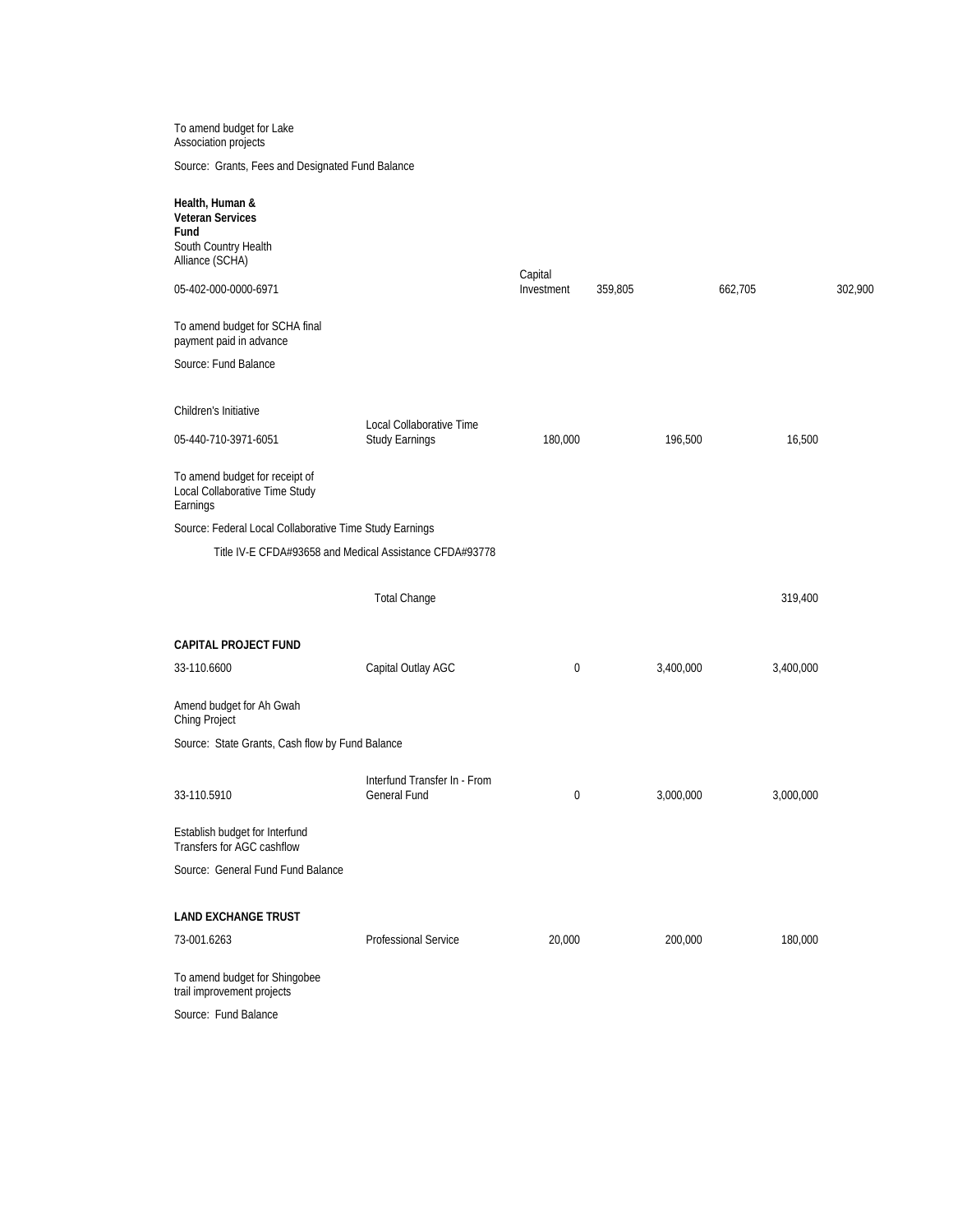To amend budget for Lake Association projects

Source: Grants, Fees and Designated Fund Balance

| Children's Initiative<br>Local Collaborative Time<br>196,500<br>16,500<br>05-440-710-3971-6051<br>Study Earnings<br>180,000<br>Earnings<br>Source: Federal Local Collaborative Time Study Earnings<br>Title IV-E CFDA#93658 and Medical Assistance CFDA#93778<br><b>Total Change</b><br>319,400<br><b>CAPITAL PROJECT FUND</b><br>33-110.6600<br>Capital Outlay AGC<br>3,400,000<br>0<br>3,400,000<br>Source: State Grants, Cash flow by Fund Balance<br>Interfund Transfer In - From<br>33-110.5910<br><b>General Fund</b><br>0<br>3,000,000<br>3,000,000<br>Establish budget for Interfund<br>Source: General Fund Fund Balance<br><b>LAND EXCHANGE TRUST</b><br>200,000<br>180,000<br>73-001.6263<br><b>Professional Service</b><br>20,000<br>To amend budget for Shingobee<br>Source: Fund Balance | Health, Human &<br><b>Veteran Services</b><br>Fund<br>South Country Health<br>Alliance (SCHA)<br>05-402-000-0000-6971 | Capital<br>Investment | 359,805 | 662,705 | 302,900 |
|--------------------------------------------------------------------------------------------------------------------------------------------------------------------------------------------------------------------------------------------------------------------------------------------------------------------------------------------------------------------------------------------------------------------------------------------------------------------------------------------------------------------------------------------------------------------------------------------------------------------------------------------------------------------------------------------------------------------------------------------------------------------------------------------------------|-----------------------------------------------------------------------------------------------------------------------|-----------------------|---------|---------|---------|
|                                                                                                                                                                                                                                                                                                                                                                                                                                                                                                                                                                                                                                                                                                                                                                                                        | To amend budget for SCHA final<br>payment paid in advance                                                             |                       |         |         |         |
|                                                                                                                                                                                                                                                                                                                                                                                                                                                                                                                                                                                                                                                                                                                                                                                                        | Source: Fund Balance                                                                                                  |                       |         |         |         |
|                                                                                                                                                                                                                                                                                                                                                                                                                                                                                                                                                                                                                                                                                                                                                                                                        |                                                                                                                       |                       |         |         |         |
|                                                                                                                                                                                                                                                                                                                                                                                                                                                                                                                                                                                                                                                                                                                                                                                                        |                                                                                                                       |                       |         |         |         |
|                                                                                                                                                                                                                                                                                                                                                                                                                                                                                                                                                                                                                                                                                                                                                                                                        | To amend budget for receipt of<br>Local Collaborative Time Study                                                      |                       |         |         |         |
|                                                                                                                                                                                                                                                                                                                                                                                                                                                                                                                                                                                                                                                                                                                                                                                                        |                                                                                                                       |                       |         |         |         |
|                                                                                                                                                                                                                                                                                                                                                                                                                                                                                                                                                                                                                                                                                                                                                                                                        |                                                                                                                       |                       |         |         |         |
|                                                                                                                                                                                                                                                                                                                                                                                                                                                                                                                                                                                                                                                                                                                                                                                                        |                                                                                                                       |                       |         |         |         |
|                                                                                                                                                                                                                                                                                                                                                                                                                                                                                                                                                                                                                                                                                                                                                                                                        |                                                                                                                       |                       |         |         |         |
|                                                                                                                                                                                                                                                                                                                                                                                                                                                                                                                                                                                                                                                                                                                                                                                                        |                                                                                                                       |                       |         |         |         |
|                                                                                                                                                                                                                                                                                                                                                                                                                                                                                                                                                                                                                                                                                                                                                                                                        | Amend budget for Ah Gwah<br>Ching Project                                                                             |                       |         |         |         |
|                                                                                                                                                                                                                                                                                                                                                                                                                                                                                                                                                                                                                                                                                                                                                                                                        |                                                                                                                       |                       |         |         |         |
|                                                                                                                                                                                                                                                                                                                                                                                                                                                                                                                                                                                                                                                                                                                                                                                                        |                                                                                                                       |                       |         |         |         |
|                                                                                                                                                                                                                                                                                                                                                                                                                                                                                                                                                                                                                                                                                                                                                                                                        | Transfers for AGC cashflow                                                                                            |                       |         |         |         |
|                                                                                                                                                                                                                                                                                                                                                                                                                                                                                                                                                                                                                                                                                                                                                                                                        |                                                                                                                       |                       |         |         |         |
|                                                                                                                                                                                                                                                                                                                                                                                                                                                                                                                                                                                                                                                                                                                                                                                                        |                                                                                                                       |                       |         |         |         |
|                                                                                                                                                                                                                                                                                                                                                                                                                                                                                                                                                                                                                                                                                                                                                                                                        |                                                                                                                       |                       |         |         |         |
|                                                                                                                                                                                                                                                                                                                                                                                                                                                                                                                                                                                                                                                                                                                                                                                                        | trail improvement projects                                                                                            |                       |         |         |         |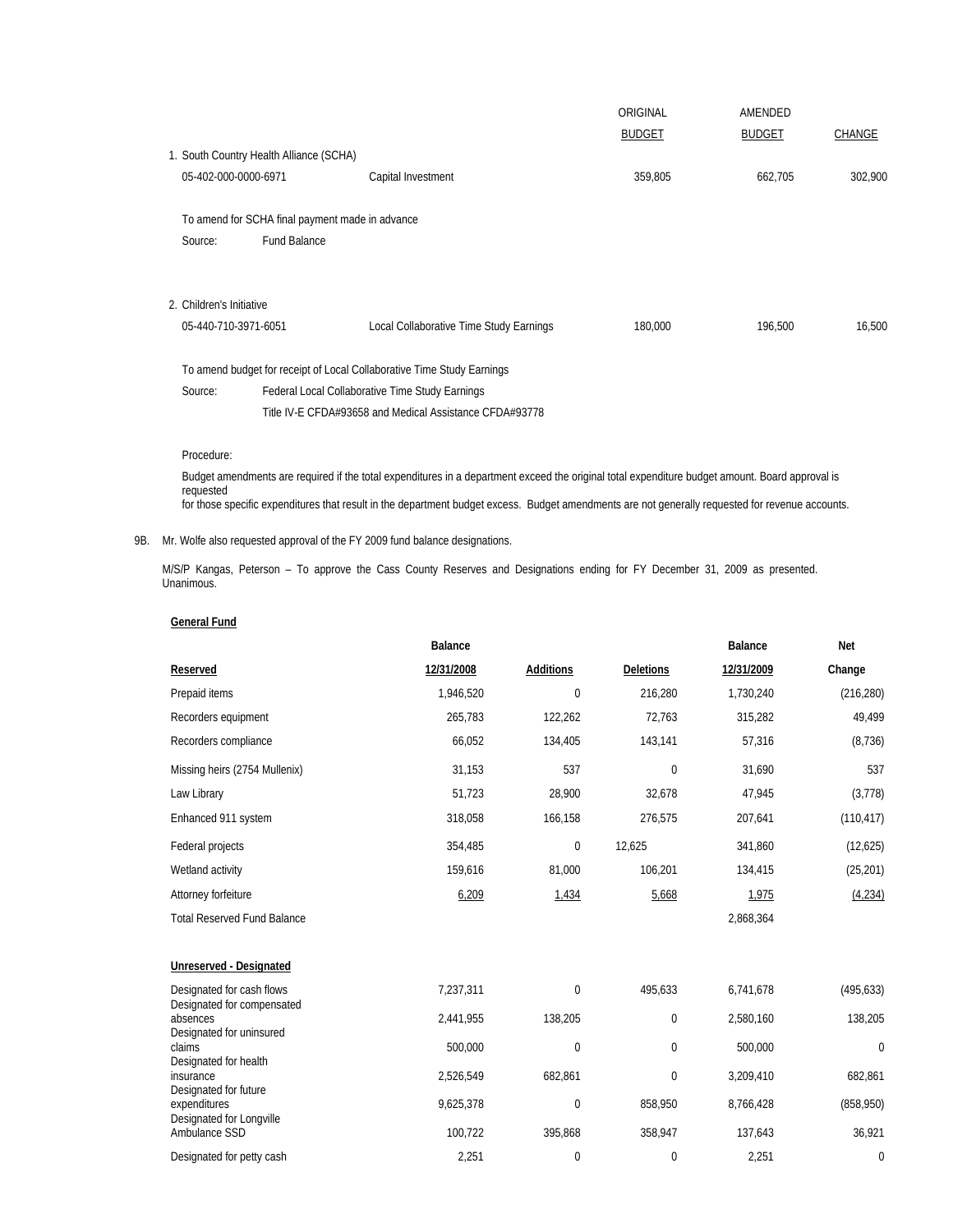|                          |                                                 |                                                                        | ORIGINAL      | AMENDED       |         |
|--------------------------|-------------------------------------------------|------------------------------------------------------------------------|---------------|---------------|---------|
|                          |                                                 |                                                                        | <b>BUDGET</b> | <b>BUDGET</b> | CHANGE  |
|                          | 1. South Country Health Alliance (SCHA)         |                                                                        |               |               |         |
| 05-402-000-0000-6971     |                                                 | Capital Investment                                                     | 359,805       | 662,705       | 302,900 |
|                          | To amend for SCHA final payment made in advance |                                                                        |               |               |         |
| Source:                  | <b>Fund Balance</b>                             |                                                                        |               |               |         |
|                          |                                                 |                                                                        |               |               |         |
| 2. Children's Initiative |                                                 |                                                                        |               |               |         |
| 05-440-710-3971-6051     |                                                 | Local Collaborative Time Study Earnings                                | 180,000       | 196,500       | 16,500  |
|                          |                                                 | To amend budget for receipt of Local Collaborative Time Study Earnings |               |               |         |
| Source:                  |                                                 | Federal Local Collaborative Time Study Earnings                        |               |               |         |
|                          |                                                 | Title IV-E CFDA#93658 and Medical Assistance CFDA#93778                |               |               |         |

Procedure:

 Budget amendments are required if the total expenditures in a department exceed the original total expenditure budget amount. Board approval is requested for those specific expenditures that result in the department budget excess. Budget amendments are not generally requested for revenue accounts.

## 9B. Mr. Wolfe also requested approval of the FY 2009 fund balance designations.

 M/S/P Kangas, Peterson – To approve the Cass County Reserves and Designations ending for FY December 31, 2009 as presented. Unanimous.

|                                                                   | Balance    |                  |                  | Balance    | <b>Net</b>   |
|-------------------------------------------------------------------|------------|------------------|------------------|------------|--------------|
| Reserved                                                          | 12/31/2008 | <b>Additions</b> | <b>Deletions</b> | 12/31/2009 | Change       |
| Prepaid items                                                     | 1,946,520  | $\mathbf 0$      | 216,280          | 1,730,240  | (216, 280)   |
| Recorders equipment                                               | 265,783    | 122,262          | 72,763           | 315,282    | 49,499       |
| Recorders compliance                                              | 66,052     | 134,405          | 143,141          | 57,316     | (8, 736)     |
| Missing heirs (2754 Mullenix)                                     | 31,153     | 537              | $\mathbf{0}$     | 31,690     | 537          |
| Law Library                                                       | 51,723     | 28,900           | 32,678           | 47,945     | (3,778)      |
| Enhanced 911 system                                               | 318,058    | 166,158          | 276,575          | 207,641    | (110, 417)   |
| Federal projects                                                  | 354,485    | $\mathbf 0$      | 12,625           | 341,860    | (12,625)     |
| Wetland activity                                                  | 159,616    | 81,000           | 106,201          | 134,415    | (25, 201)    |
| Attorney forfeiture                                               | 6,209      | 1,434            | 5,668            | 1,975      | (4, 234)     |
| <b>Total Reserved Fund Balance</b>                                |            |                  |                  | 2,868,364  |              |
|                                                                   |            |                  |                  |            |              |
| Unreserved - Designated                                           |            |                  |                  |            |              |
| Designated for cash flows<br>Designated for compensated           | 7,237,311  | $\mathbf 0$      | 495,633          | 6,741,678  | (495, 633)   |
| absences<br>Designated for uninsured                              | 2,441,955  | 138,205          | $\mathbf 0$      | 2,580,160  | 138,205      |
| claims                                                            | 500,000    | 0                | $\mathbf 0$      | 500,000    | $\mathbf{0}$ |
| Designated for health<br>insurance                                | 2,526,549  | 682,861          | $\mathbf 0$      | 3,209,410  | 682,861      |
| Designated for future<br>expenditures<br>Designated for Longville | 9,625,378  | $\mathbf 0$      | 858,950          | 8,766,428  | (858, 950)   |
| Ambulance SSD                                                     | 100,722    | 395,868          | 358,947          | 137,643    | 36,921       |
| Designated for petty cash                                         | 2,251      | $\mathbf 0$      | $\mathbf 0$      | 2,251      | $\mathbf 0$  |

## **General Fund**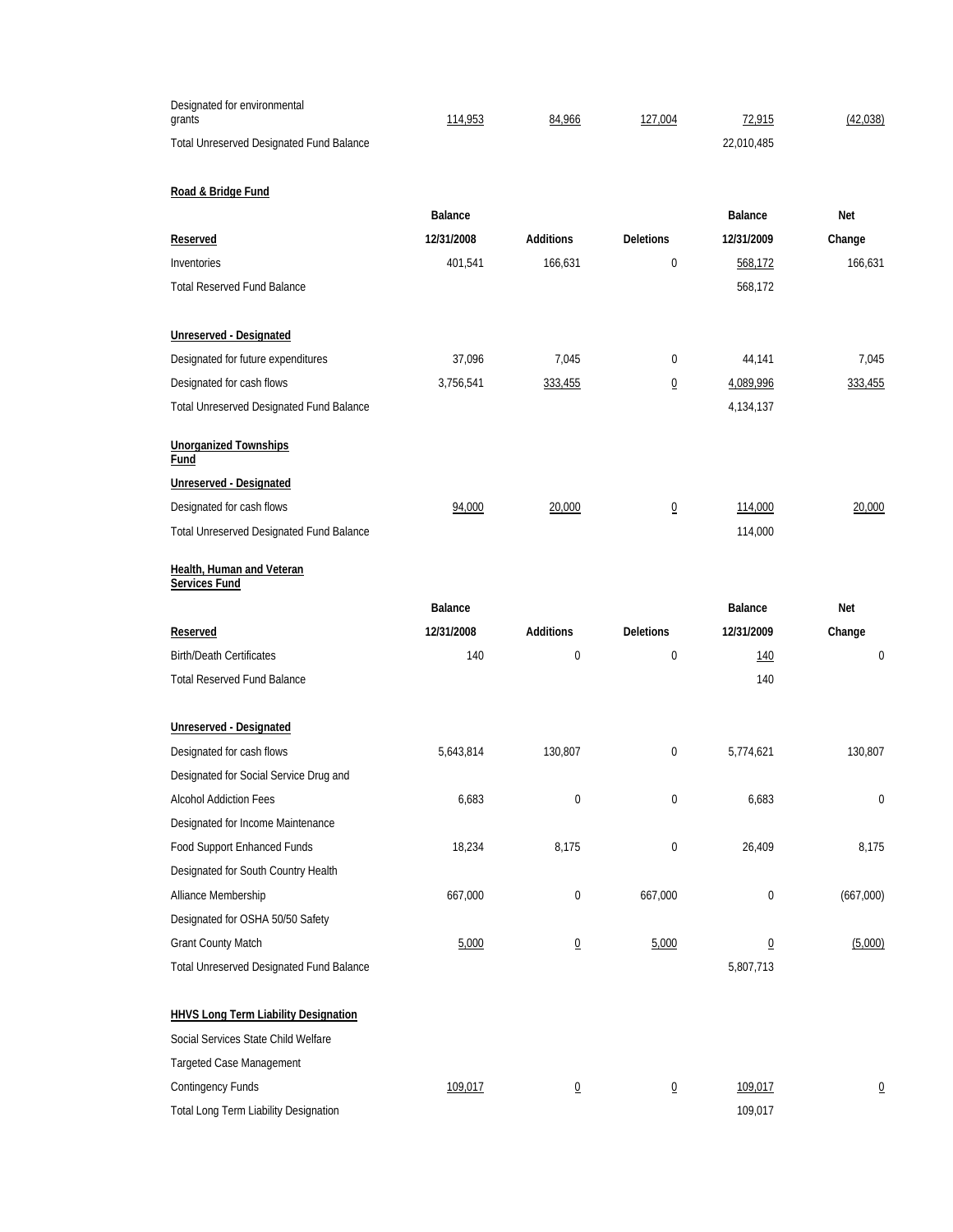| Designated for environmental<br>grants                              | 114,953        | 84,966           | 127,004          | 72,915         | (42,038)       |
|---------------------------------------------------------------------|----------------|------------------|------------------|----------------|----------------|
| Total Unreserved Designated Fund Balance                            |                |                  |                  | 22,010,485     |                |
|                                                                     |                |                  |                  |                |                |
| Road & Bridge Fund                                                  | Balance        |                  |                  | Balance        | Net            |
| Reserved                                                            | 12/31/2008     | <b>Additions</b> | <b>Deletions</b> | 12/31/2009     | Change         |
| Inventories                                                         | 401,541        | 166,631          | $\mathbf 0$      | 568,172        | 166.631        |
| <b>Total Reserved Fund Balance</b>                                  |                |                  |                  | 568,172        |                |
|                                                                     |                |                  |                  |                |                |
| Unreserved - Designated                                             |                |                  |                  |                |                |
| Designated for future expenditures                                  | 37,096         | 7,045            | 0                | 44,141         | 7,045          |
| Designated for cash flows                                           | 3,756,541      | 333,455          | $\overline{0}$   | 4,089,996      | 333,455        |
| Total Unreserved Designated Fund Balance                            |                |                  |                  | 4,134,137      |                |
| <b>Unorganized Townships</b><br>Fund                                |                |                  |                  |                |                |
| Unreserved - Designated                                             |                |                  |                  |                |                |
| Designated for cash flows                                           | 94,000         | 20,000           | $\overline{0}$   | 114,000        | 20,000         |
| Total Unreserved Designated Fund Balance                            |                |                  |                  | 114,000        |                |
| Health, Human and Veteran<br>Services Fund                          |                |                  |                  |                |                |
|                                                                     | <b>Balance</b> |                  |                  | <b>Balance</b> | Net            |
|                                                                     |                |                  |                  |                |                |
| Reserved                                                            | 12/31/2008     | <b>Additions</b> | <b>Deletions</b> | 12/31/2009     | Change         |
| <b>Birth/Death Certificates</b>                                     | 140            | $\mathbf 0$      | $\mathbf 0$      | <u>140</u>     | 0              |
| <b>Total Reserved Fund Balance</b>                                  |                |                  |                  | 140            |                |
|                                                                     |                |                  |                  |                |                |
| Unreserved - Designated                                             | 5,643,814      | 130,807          | 0                | 5,774,621      | 130,807        |
| Designated for cash flows<br>Designated for Social Service Drug and |                |                  |                  |                |                |
| <b>Alcohol Addiction Fees</b>                                       | 6,683          | $\mathbf 0$      | $\mathbf 0$      | 6,683          | 0              |
| Designated for Income Maintenance                                   |                |                  |                  |                |                |
| Food Support Enhanced Funds                                         | 18,234         | 8,175            | $\boldsymbol{0}$ | 26,409         | 8,175          |
| Designated for South Country Health                                 |                |                  |                  |                |                |
| Alliance Membership                                                 | 667,000        | $\boldsymbol{0}$ | 667,000          | 0              | (667,000)      |
| Designated for OSHA 50/50 Safety                                    |                |                  |                  |                |                |
| <b>Grant County Match</b>                                           | 5,000          | $\overline{0}$   | 5,000            | $\overline{0}$ | (5,000)        |
| Total Unreserved Designated Fund Balance                            |                |                  |                  | 5,807,713      |                |
|                                                                     |                |                  |                  |                |                |
| <b>HHVS Long Term Liability Designation</b>                         |                |                  |                  |                |                |
| Social Services State Child Welfare                                 |                |                  |                  |                |                |
| Targeted Case Management<br>Contingency Funds                       | 109,017        | $\underline{0}$  | $\overline{0}$   | 109,017        | $\overline{0}$ |